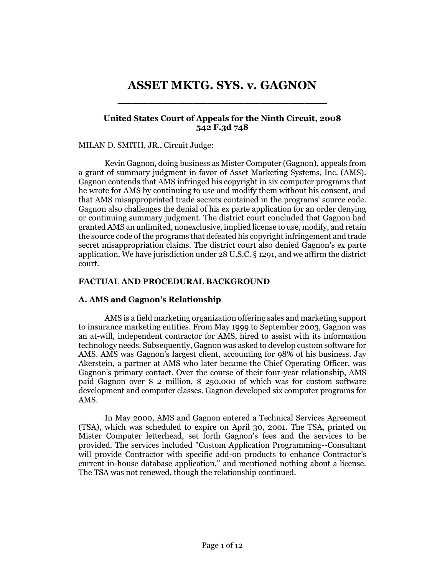# **ASSET MKTG. SYS. v. GAGNON** \_\_\_\_\_\_\_\_\_\_\_\_\_\_\_\_\_\_\_\_\_\_\_\_\_\_\_\_

# **United States Court of Appeals for the Ninth Circuit, 2008 542 F.3d 748**

## MILAN D. SMITH, JR., Circuit Judge:

Kevin Gagnon, doing business as Mister Computer (Gagnon), appeals from a grant of summary judgment in favor of Asset Marketing Systems, Inc. (AMS). Gagnon contends that AMS infringed his copyright in six computer programs that he wrote for AMS by continuing to use and modify them without his consent, and that AMS misappropriated trade secrets contained in the programs' source code. Gagnon also challenges the denial of his ex parte application for an order denying or continuing summary judgment. The district court concluded that Gagnon had granted AMS an unlimited, nonexclusive, implied license to use, modify, and retain the source code of the programs that defeated his copyright infringement and trade secret misappropriation claims. The district court also denied Gagnon's ex parte application. We have jurisdiction under 28 U.S.C. § 1291, and we affirm the district court.

## **FACTUAL AND PROCEDURAL BACKGROUND**

## **A. AMS and Gagnon's Relationship**

AMS is a field marketing organization offering sales and marketing support to insurance marketing entities. From May 1999 to September 2003, Gagnon was an at-will, independent contractor for AMS, hired to assist with its information technology needs. Subsequently, Gagnon was asked to develop custom software for AMS. AMS was Gagnon's largest client, accounting for 98% of his business. Jay Akerstein, a partner at AMS who later became the Chief Operating Officer, was Gagnon's primary contact. Over the course of their four-year relationship, AMS paid Gagnon over \$ 2 million, \$ 250,000 of which was for custom software development and computer classes. Gagnon developed six computer programs for AMS.

In May 2000, AMS and Gagnon entered a Technical Services Agreement (TSA), which was scheduled to expire on April 30, 2001. The TSA, printed on Mister Computer letterhead, set forth Gagnon's fees and the services to be provided. The services included "Custom Application Programming--Consultant will provide Contractor with specific add-on products to enhance Contractor's current in-house database application," and mentioned nothing about a license. The TSA was not renewed, though the relationship continued.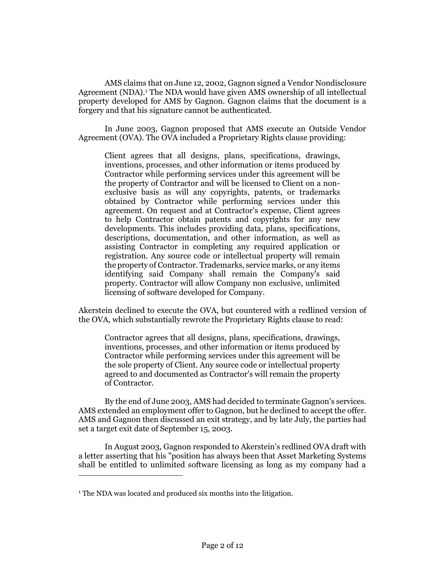AMS claims that on June 12, 2002, Gagnon signed a Vendor Nondisclosure Agreement (NDA).<sup>1</sup> The NDA would have given AMS ownership of all intellectual property developed for AMS by Gagnon. Gagnon claims that the document is a forgery and that his signature cannot be authenticated.

In June 2003, Gagnon proposed that AMS execute an Outside Vendor Agreement (OVA). The OVA included a Proprietary Rights clause providing:

Client agrees that all designs, plans, specifications, drawings, inventions, processes, and other information or items produced by Contractor while performing services under this agreement will be the property of Contractor and will be licensed to Client on a nonexclusive basis as will any copyrights, patents, or trademarks obtained by Contractor while performing services under this agreement. On request and at Contractor's expense, Client agrees to help Contractor obtain patents and copyrights for any new developments. This includes providing data, plans, specifications, descriptions, documentation, and other information, as well as assisting Contractor in completing any required application or registration. Any source code or intellectual property will remain the property of Contractor. Trademarks, service marks, or any items identifying said Company shall remain the Company's said property. Contractor will allow Company non exclusive, unlimited licensing of software developed for Company.

Akerstein declined to execute the OVA, but countered with a redlined version of the OVA, which substantially rewrote the Proprietary Rights clause to read:

Contractor agrees that all designs, plans, specifications, drawings, inventions, processes, and other information or items produced by Contractor while performing services under this agreement will be the sole property of Client. Any source code or intellectual property agreed to and documented as Contractor's will remain the property of Contractor.

By the end of June 2003, AMS had decided to terminate Gagnon's services. AMS extended an employment offer to Gagnon, but he declined to accept the offer. AMS and Gagnon then discussed an exit strategy, and by late July, the parties had set a target exit date of September 15, 2003.

In August 2003, Gagnon responded to Akerstein's redlined OVA draft with a letter asserting that his "position has always been that Asset Marketing Systems shall be entitled to unlimited software licensing as long as my company had a

<sup>&</sup>lt;sup>1</sup> The NDA was located and produced six months into the litigation.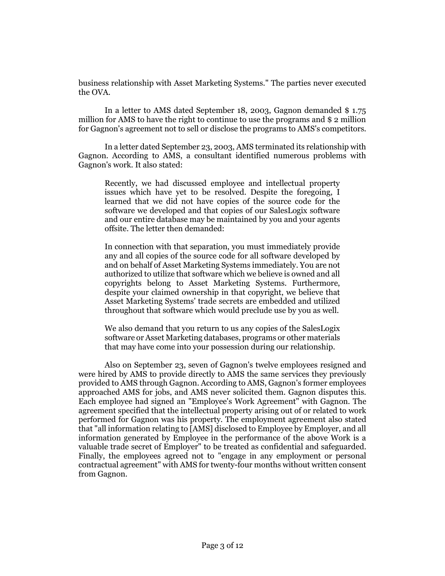business relationship with Asset Marketing Systems." The parties never executed the OVA.

In a letter to AMS dated September 18, 2003, Gagnon demanded \$ 1.75 million for AMS to have the right to continue to use the programs and \$ 2 million for Gagnon's agreement not to sell or disclose the programs to AMS's competitors.

In a letter dated September 23, 2003, AMS terminated its relationship with Gagnon. According to AMS, a consultant identified numerous problems with Gagnon's work. It also stated:

Recently, we had discussed employee and intellectual property issues which have yet to be resolved. Despite the foregoing, I learned that we did not have copies of the source code for the software we developed and that copies of our SalesLogix software and our entire database may be maintained by you and your agents offsite. The letter then demanded:

In connection with that separation, you must immediately provide any and all copies of the source code for all software developed by and on behalf of Asset Marketing Systems immediately. You are not authorized to utilize that software which we believe is owned and all copyrights belong to Asset Marketing Systems. Furthermore, despite your claimed ownership in that copyright, we believe that Asset Marketing Systems' trade secrets are embedded and utilized throughout that software which would preclude use by you as well.

We also demand that you return to us any copies of the SalesLogix software or Asset Marketing databases, programs or other materials that may have come into your possession during our relationship.

Also on September 23, seven of Gagnon's twelve employees resigned and were hired by AMS to provide directly to AMS the same services they previously provided to AMS through Gagnon. According to AMS, Gagnon's former employees approached AMS for jobs, and AMS never solicited them. Gagnon disputes this. Each employee had signed an "Employee's Work Agreement" with Gagnon. The agreement specified that the intellectual property arising out of or related to work performed for Gagnon was his property. The employment agreement also stated that "all information relating to [AMS] disclosed to Employee by Employer, and all information generated by Employee in the performance of the above Work is a valuable trade secret of Employer" to be treated as confidential and safeguarded. Finally, the employees agreed not to "engage in any employment or personal contractual agreement" with AMS for twenty-four months without written consent from Gagnon.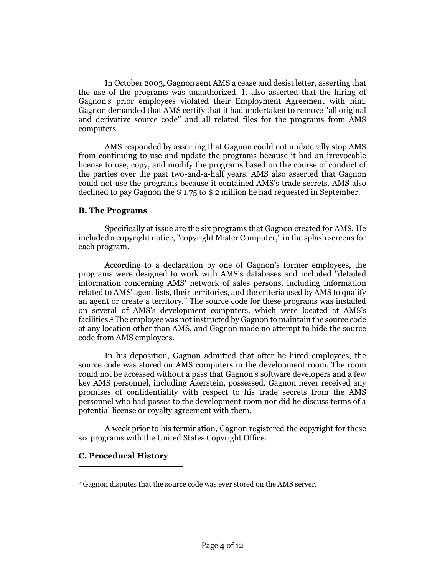In October 2003, Gagnon sent AMS a cease and desist letter, asserting that the use of the programs was unauthorized. It also asserted that the hiring of Gagnon's prior employees violated their Employment Agreement with him. Gagnon demanded that AMS certify that it had undertaken to remove "all original and derivative source code" and all related files for the programs from AMS computers.

AMS responded by asserting that Gagnon could not unilaterally stop AMS from continuing to use and update the programs because it had an irrevocable license to use, copy, and modify the programs based on the course of conduct of the parties over the past two-and-a-half years. AMS also asserted that Gagnon could not use the programs because it contained AMS's trade secrets. AMS also declined to pay Gagnon the \$ 1.75 to \$ 2 million he had requested in September.

## **B. The Programs**

Specifically at issue are the six programs that Gagnon created for AMS. He included a copyright notice, "copyright Mister Computer," in the splash screens for each program.

According to a declaration by one of Gagnon's former employees, the programs were designed to work with AMS's databases and included "detailed information concerning AMS' network of sales persons, including information related to AMS' agent lists, their territories, and the criteria used by AMS to qualify an agent or create a territory." The source code for these programs was installed on several of AMS's development computers, which were located at AMS's facilities.<sup>2</sup> The employee was not instructed by Gagnon to maintain the source code at any location other than AMS, and Gagnon made no attempt to hide the source code from AMS employees.

In his deposition, Gagnon admitted that after he hired employees, the source code was stored on AMS computers in the development room. The room could not be accessed without a pass that Gagnon's software developers and a few key AMS personnel, including Akerstein, possessed. Gagnon never received any promises of confidentiality with respect to his trade secrets from the AMS personnel who had passes to the development room nor did he discuss terms of a potential license or royalty agreement with them.

A week prior to his termination, Gagnon registered the copyright for these six programs with the United States Copyright Office.

# **C. Procedural History**

<sup>2</sup> Gagnon disputes that the source code was ever stored on the AMS server.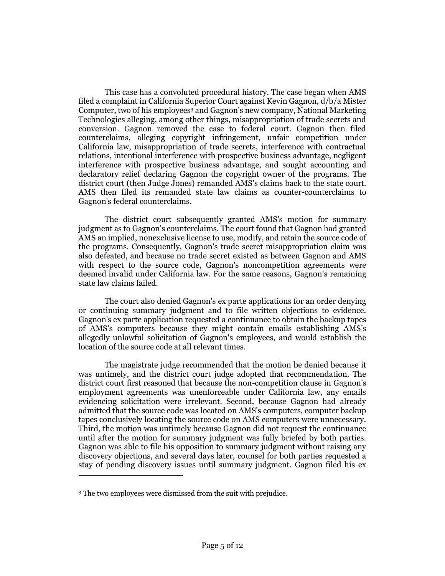This case has a convoluted procedural history. The case began when AMS filed a complaint in California Superior Court against Kevin Gagnon, d/b/a Mister Computer, two of his employees<sup>3</sup> and Gagnon's new company, National Marketing Technologies alleging, among other things, misappropriation of trade secrets and conversion. Gagnon removed the case to federal court. Gagnon then filed counterclaims, alleging copyright infringement, unfair competition under California law, misappropriation of trade secrets, interference with contractual relations, intentional interference with prospective business advantage, negligent interference with prospective business advantage, and sought accounting and declaratory relief declaring Gagnon the copyright owner of the programs. The district court (then Judge Jones) remanded AMS's claims back to the state court. AMS then filed its remanded state law claims as counter-counterclaims to Gagnon's federal counterclaims.

The district court subsequently granted AMS's motion for summary judgment as to Gagnon's counterclaims. The court found that Gagnon had granted AMS an implied, nonexclusive license to use, modify, and retain the source code of the programs. Consequently, Gagnon's trade secret misappropriation claim was also defeated, and because no trade secret existed as between Gagnon and AMS with respect to the source code, Gagnon's noncompetition agreements were deemed invalid under California law. For the same reasons, Gagnon's remaining state law claims failed.

The court also denied Gagnon's ex parte applications for an order denying or continuing summary judgment and to file written objections to evidence. Gagnon's ex parte application requested a continuance to obtain the backup tapes of AMS's computers because they might contain emails establishing AMS's allegedly unlawful solicitation of Gagnon's employees, and would establish the location of the source code at all relevant times.

The magistrate judge recommended that the motion be denied because it was untimely, and the district court judge adopted that recommendation. The district court first reasoned that because the non-competition clause in Gagnon's employment agreements was unenforceable under California law, any emails evidencing solicitation were irrelevant. Second, because Gagnon had already admitted that the source code was located on AMS's computers, computer backup tapes conclusively locating the source code on AMS computers were unnecessary. Third, the motion was untimely because Gagnon did not request the continuance until after the motion for summary judgment was fully briefed by both parties. Gagnon was able to file his opposition to summary judgment without raising any discovery objections, and several days later, counsel for both parties requested a stay of pending discovery issues until summary judgment. Gagnon filed his ex

<sup>3</sup> The two employees were dismissed from the suit with prejudice.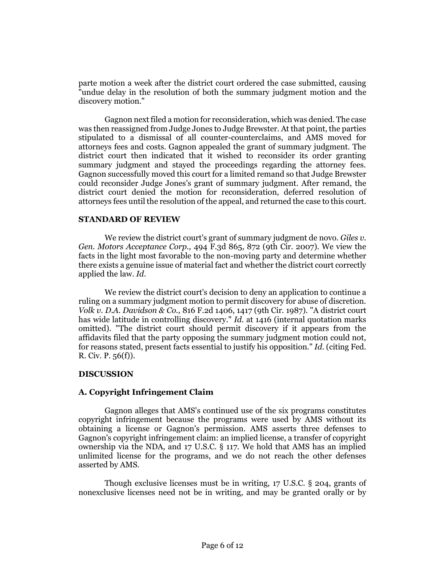parte motion a week after the district court ordered the case submitted, causing "undue delay in the resolution of both the summary judgment motion and the discovery motion."

Gagnon next filed a motion for reconsideration, which was denied. The case was then reassigned from Judge Jones to Judge Brewster. At that point, the parties stipulated to a dismissal of all counter-counterclaims, and AMS moved for attorneys fees and costs. Gagnon appealed the grant of summary judgment. The district court then indicated that it wished to reconsider its order granting summary judgment and stayed the proceedings regarding the attorney fees. Gagnon successfully moved this court for a limited remand so that Judge Brewster could reconsider Judge Jones's grant of summary judgment. After remand, the district court denied the motion for reconsideration, deferred resolution of attorneys fees until the resolution of the appeal, and returned the case to this court.

#### **STANDARD OF REVIEW**

We review the district court's grant of summary judgment de novo. *Giles v. Gen. Motors Acceptance Corp.,* 494 F.3d 865, 872 (9th Cir. 2007). We view the facts in the light most favorable to the non-moving party and determine whether there exists a genuine issue of material fact and whether the district court correctly applied the law. *Id.*

We review the district court's decision to deny an application to continue a ruling on a summary judgment motion to permit discovery for abuse of discretion. *Volk v. D.A. Davidson & Co.,* 816 F.2d 1406, 1417 (9th Cir. 1987). "A district court has wide latitude in controlling discovery." *Id.* at 1416 (internal quotation marks omitted). "The district court should permit discovery if it appears from the affidavits filed that the party opposing the summary judgment motion could not, for reasons stated, present facts essential to justify his opposition." *Id.* (citing Fed. R. Civ. P. 56(f)).

## **DISCUSSION**

## **A. Copyright Infringement Claim**

Gagnon alleges that AMS's continued use of the six programs constitutes copyright infringement because the programs were used by AMS without its obtaining a license or Gagnon's permission. AMS asserts three defenses to Gagnon's copyright infringement claim: an implied license, a transfer of copyright ownership via the NDA, and 17 U.S.C. § 117. We hold that AMS has an implied unlimited license for the programs, and we do not reach the other defenses asserted by AMS.

Though exclusive licenses must be in writing, 17 U.S.C. § 204, grants of nonexclusive licenses need not be in writing, and may be granted orally or by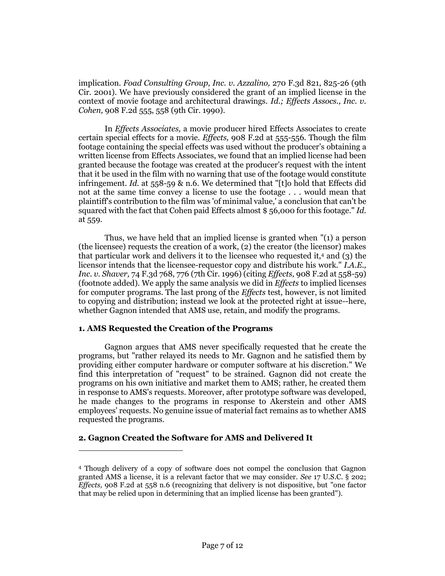implication. *Foad Consulting Group, Inc. v. Azzalino,* 270 F.3d 821, 825-26 (9th Cir. 2001). We have previously considered the grant of an implied license in the context of movie footage and architectural drawings. *Id.; Effects Assocs., Inc. v. Cohen,* 908 F.2d 555, 558 (9th Cir. 1990).

In *Effects Associates,* a movie producer hired Effects Associates to create certain special effects for a movie. *Effects,* 908 F.2d at 555-556. Though the film footage containing the special effects was used without the producer's obtaining a written license from Effects Associates, we found that an implied license had been granted because the footage was created at the producer's request with the intent that it be used in the film with no warning that use of the footage would constitute infringement. *Id.* at 558-59 & n.6. We determined that "[t]o hold that Effects did not at the same time convey a license to use the footage . . . would mean that plaintiff's contribution to the film was 'of minimal value,' a conclusion that can't be squared with the fact that Cohen paid Effects almost \$ 56,000 for this footage." *Id.* at 559.

Thus, we have held that an implied license is granted when "(1) a person (the licensee) requests the creation of a work, (2) the creator (the licensor) makes that particular work and delivers it to the licensee who requested it,<sup>4</sup> and (3) the licensor intends that the licensee-requestor copy and distribute his work." *I.A.E., Inc. v. Shaver,* 74 F.3d 768, 776 (7th Cir. 1996) (citing *Effects,* 908 F.2d at 558-59) (footnote added). We apply the same analysis we did in *Effects* to implied licenses for computer programs. The last prong of the *Effects* test, however, is not limited to copying and distribution; instead we look at the protected right at issue--here, whether Gagnon intended that AMS use, retain, and modify the programs.

## **1. AMS Requested the Creation of the Programs**

Gagnon argues that AMS never specifically requested that he create the programs, but "rather relayed its needs to Mr. Gagnon and he satisfied them by providing either computer hardware or computer software at his discretion." We find this interpretation of "request" to be strained. Gagnon did not create the programs on his own initiative and market them to AMS; rather, he created them in response to AMS's requests. Moreover, after prototype software was developed, he made changes to the programs in response to Akerstein and other AMS employees' requests. No genuine issue of material fact remains as to whether AMS requested the programs.

## **2. Gagnon Created the Software for AMS and Delivered It**

<sup>4</sup> Though delivery of a copy of software does not compel the conclusion that Gagnon granted AMS a license, it is a relevant factor that we may consider. *See* 17 U.S.C. § 202; *Effects,* 908 F.2d at 558 n.6 (recognizing that delivery is not dispositive, but "one factor that may be relied upon in determining that an implied license has been granted").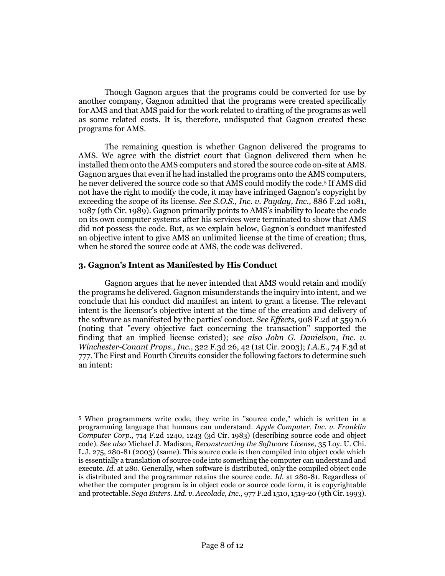Though Gagnon argues that the programs could be converted for use by another company, Gagnon admitted that the programs were created specifically for AMS and that AMS paid for the work related to drafting of the programs as well as some related costs. It is, therefore, undisputed that Gagnon created these programs for AMS.

The remaining question is whether Gagnon delivered the programs to AMS. We agree with the district court that Gagnon delivered them when he installed them onto the AMS computers and stored the source code on-site at AMS. Gagnon argues that even if he had installed the programs onto the AMS computers, he never delivered the source code so that AMS could modify the code.<sup>5</sup> If AMS did not have the right to modify the code, it may have infringed Gagnon's copyright by exceeding the scope of its license. *See S.O.S., Inc. v. Payday, Inc.,* 886 F.2d 1081, 1087 (9th Cir. 1989). Gagnon primarily points to AMS's inability to locate the code on its own computer systems after his services were terminated to show that AMS did not possess the code. But, as we explain below, Gagnon's conduct manifested an objective intent to give AMS an unlimited license at the time of creation; thus, when he stored the source code at AMS, the code was delivered.

#### **3. Gagnon's Intent as Manifested by His Conduct**

 $\overline{a}$ 

Gagnon argues that he never intended that AMS would retain and modify the programs he delivered. Gagnon misunderstands the inquiry into intent, and we conclude that his conduct did manifest an intent to grant a license. The relevant intent is the licensor's objective intent at the time of the creation and delivery of the software as manifested by the parties' conduct. *See Effects,* 908 F.2d at 559 n.6 (noting that "every objective fact concerning the transaction" supported the finding that an implied license existed); *see also John G. Danielson, Inc. v. Winchester-Conant Props., Inc.,* 322 F.3d 26, 42 (1st Cir. 2003); *I.A.E.,* 74 F.3d at 777. The First and Fourth Circuits consider the following factors to determine such an intent:

<sup>5</sup> When programmers write code, they write in "source code," which is written in a programming language that humans can understand. *Apple Computer, Inc. v. Franklin Computer Corp.,* 714 F.2d 1240, 1243 (3d Cir. 1983) (describing source code and object code). *See also* Michael J. Madison, *Reconstructing the Software License,* 35 Loy. U. Chi. L.J. 275, 280-81 (2003) (same). This source code is then compiled into object code which is essentially a translation of source code into something the computer can understand and execute. *Id.* at 280. Generally, when software is distributed, only the compiled object code is distributed and the programmer retains the source code. *Id.* at 280-81. Regardless of whether the computer program is in object code or source code form, it is copyrightable and protectable. *Sega Enters. Ltd. v. Accolade, Inc.,* 977 F.2d 1510, 1519-20 (9th Cir. 1993).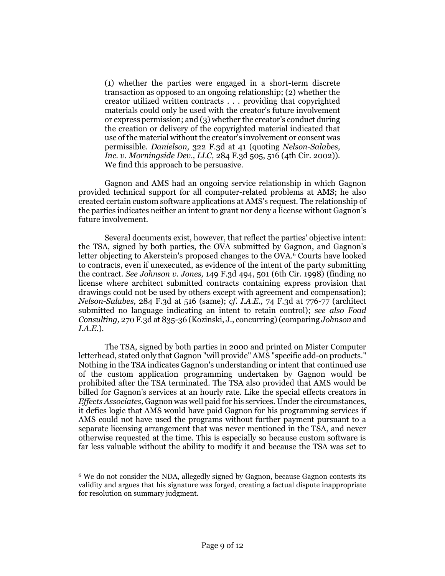(1) whether the parties were engaged in a short-term discrete transaction as opposed to an ongoing relationship; (2) whether the creator utilized written contracts . . . providing that copyrighted materials could only be used with the creator's future involvement or express permission; and (3) whether the creator's conduct during the creation or delivery of the copyrighted material indicated that use of the material without the creator's involvement or consent was permissible. *Danielson,* 322 F.3d at 41 (quoting *Nelson-Salabes, Inc. v. Morningside Dev., LLC,* 284 F.3d 505, 516 (4th Cir. 2002)). We find this approach to be persuasive.

Gagnon and AMS had an ongoing service relationship in which Gagnon provided technical support for all computer-related problems at AMS; he also created certain custom software applications at AMS's request. The relationship of the parties indicates neither an intent to grant nor deny a license without Gagnon's future involvement.

Several documents exist, however, that reflect the parties' objective intent: the TSA, signed by both parties, the OVA submitted by Gagnon, and Gagnon's letter objecting to Akerstein's proposed changes to the OVA.<sup>6</sup> Courts have looked to contracts, even if unexecuted, as evidence of the intent of the party submitting the contract. *See Johnson v. Jones,* 149 F.3d 494, 501 (6th Cir. 1998) (finding no license where architect submitted contracts containing express provision that drawings could not be used by others except with agreement and compensation); *Nelson-Salabes,* 284 F.3d at 516 (same); *cf. I.A.E.,* 74 F.3d at 776-77 (architect submitted no language indicating an intent to retain control); *see also Foad Consulting,* 270 F.3d at 835-36 (Kozinski, J., concurring) (comparing *Johnson* and *I.A.E.*).

The TSA, signed by both parties in 2000 and printed on Mister Computer letterhead, stated only that Gagnon "will provide" AMS "specific add-on products." Nothing in the TSA indicates Gagnon's understanding or intent that continued use of the custom application programming undertaken by Gagnon would be prohibited after the TSA terminated. The TSA also provided that AMS would be billed for Gagnon's services at an hourly rate. Like the special effects creators in *Effects Associates,* Gagnon was well paid for his services. Under the circumstances, it defies logic that AMS would have paid Gagnon for his programming services if AMS could not have used the programs without further payment pursuant to a separate licensing arrangement that was never mentioned in the TSA, and never otherwise requested at the time. This is especially so because custom software is far less valuable without the ability to modify it and because the TSA was set to

<sup>6</sup> We do not consider the NDA, allegedly signed by Gagnon, because Gagnon contests its validity and argues that his signature was forged, creating a factual dispute inappropriate for resolution on summary judgment.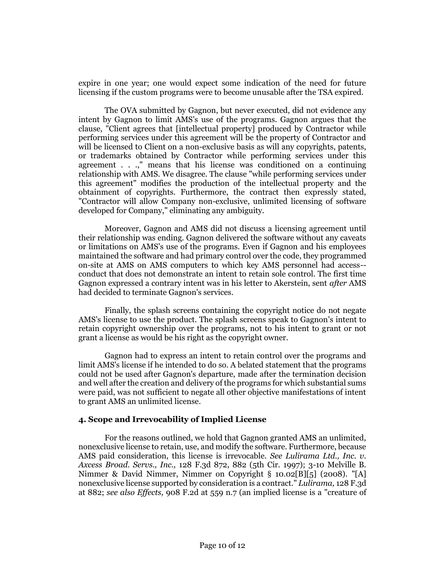expire in one year; one would expect some indication of the need for future licensing if the custom programs were to become unusable after the TSA expired.

The OVA submitted by Gagnon, but never executed, did not evidence any intent by Gagnon to limit AMS's use of the programs. Gagnon argues that the clause, "Client agrees that [intellectual property] produced by Contractor while performing services under this agreement will be the property of Contractor and will be licensed to Client on a non-exclusive basis as will any copyrights, patents, or trademarks obtained by Contractor while performing services under this agreement . . .," means that his license was conditioned on a continuing relationship with AMS. We disagree. The clause "while performing services under this agreement" modifies the production of the intellectual property and the obtainment of copyrights. Furthermore, the contract then expressly stated, "Contractor will allow Company non-exclusive, unlimited licensing of software developed for Company," eliminating any ambiguity.

Moreover, Gagnon and AMS did not discuss a licensing agreement until their relationship was ending. Gagnon delivered the software without any caveats or limitations on AMS's use of the programs. Even if Gagnon and his employees maintained the software and had primary control over the code, they programmed on-site at AMS on AMS computers to which key AMS personnel had access- conduct that does not demonstrate an intent to retain sole control. The first time Gagnon expressed a contrary intent was in his letter to Akerstein, sent *after* AMS had decided to terminate Gagnon's services.

Finally, the splash screens containing the copyright notice do not negate AMS's license to use the product. The splash screens speak to Gagnon's intent to retain copyright ownership over the programs, not to his intent to grant or not grant a license as would be his right as the copyright owner.

Gagnon had to express an intent to retain control over the programs and limit AMS's license if he intended to do so. A belated statement that the programs could not be used after Gagnon's departure, made after the termination decision and well after the creation and delivery of the programs for which substantial sums were paid, was not sufficient to negate all other objective manifestations of intent to grant AMS an unlimited license.

#### **4. Scope and Irrevocability of Implied License**

For the reasons outlined, we hold that Gagnon granted AMS an unlimited, nonexclusive license to retain, use, and modify the software. Furthermore, because AMS paid consideration, this license is irrevocable. *See Lulirama Ltd., Inc. v. Axcess Broad. Servs., Inc.,* 128 F.3d 872, 882 (5th Cir. 1997); 3-10 Melville B. Nimmer & David Nimmer, Nimmer on Copyright § 10.02[B][5] (2008). "[A] nonexclusive license supported by consideration is a contract." *Lulirama,* 128 F.3d at 882; *see also Effects,* 908 F.2d at 559 n.7 (an implied license is a "creature of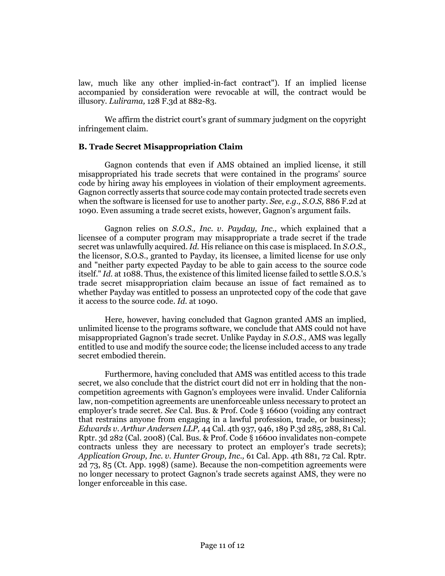law, much like any other implied-in-fact contract"). If an implied license accompanied by consideration were revocable at will, the contract would be illusory. *Lulirama,* 128 F.3d at 882-83.

We affirm the district court's grant of summary judgment on the copyright infringement claim.

#### **B. Trade Secret Misappropriation Claim**

Gagnon contends that even if AMS obtained an implied license, it still misappropriated his trade secrets that were contained in the programs' source code by hiring away his employees in violation of their employment agreements. Gagnon correctly asserts that source code may contain protected trade secrets even when the software is licensed for use to another party. *See, e.g., S.O.S,* 886 F.2d at 1090. Even assuming a trade secret exists, however, Gagnon's argument fails.

Gagnon relies on *S.O.S., Inc. v. Payday, Inc.,* which explained that a licensee of a computer program may misappropriate a trade secret if the trade secret was unlawfully acquired. *Id.* His reliance on this case is misplaced. In *S.O.S.,* the licensor, S.O.S., granted to Payday, its licensee, a limited license for use only and "neither party expected Payday to be able to gain access to the source code itself." *Id.* at 1088. Thus, the existence of this limited license failed to settle S.O.S.'s trade secret misappropriation claim because an issue of fact remained as to whether Payday was entitled to possess an unprotected copy of the code that gave it access to the source code. *Id.* at 1090.

Here, however, having concluded that Gagnon granted AMS an implied, unlimited license to the programs software, we conclude that AMS could not have misappropriated Gagnon's trade secret. Unlike Payday in *S.O.S.,* AMS was legally entitled to use and modify the source code; the license included access to any trade secret embodied therein.

Furthermore, having concluded that AMS was entitled access to this trade secret, we also conclude that the district court did not err in holding that the noncompetition agreements with Gagnon's employees were invalid. Under California law, non-competition agreements are unenforceable unless necessary to protect an employer's trade secret. *See* Cal. Bus. & Prof. Code § 16600 (voiding any contract that restrains anyone from engaging in a lawful profession, trade, or business); *Edwards v. Arthur Andersen LLP,* 44 Cal. 4th 937, 946, 189 P.3d 285, 288, 81 Cal. Rptr. 3d 282 (Cal. 2008) (Cal. Bus. & Prof. Code § 16600 invalidates non-compete contracts unless they are necessary to protect an employer's trade secrets); *Application Group, Inc. v. Hunter Group, Inc.,* 61 Cal. App. 4th 881, 72 Cal. Rptr. 2d 73, 85 (Ct. App. 1998) (same). Because the non-competition agreements were no longer necessary to protect Gagnon's trade secrets against AMS, they were no longer enforceable in this case.